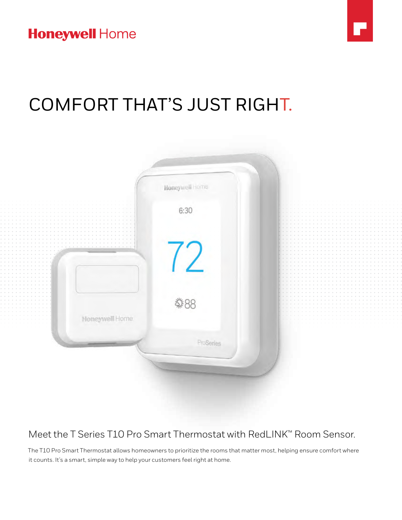

# COMFORT THAT'S JUST RIGHT.

|                | Honeywell Home |  |
|----------------|----------------|--|
|                | 6:30           |  |
|                | 72             |  |
| Honeywell Home | <b>《将88</b>    |  |
|                | ProSeries      |  |

## Meet the T Series T10 Pro Smart Thermostat with RedLINK™ Room Sensor.

The T10 Pro Smart Thermostat allows homeowners to prioritize the rooms that matter most, helping ensure comfort where it counts. It's a smart, simple way to help your customers feel right at home.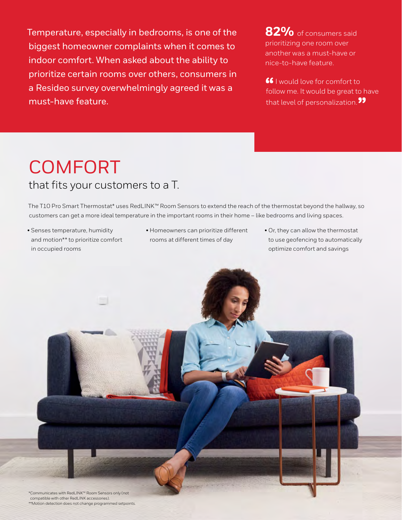Temperature, especially in bedrooms, is one of the biggest homeowner complaints when it comes to indoor comfort. When asked about the ability to prioritize certain rooms over others, consumers in a Resideo survey overwhelmingly agreed it was a must-have feature.

**82%** of consumers said prioritizing one room over another was a must-have or nice-to-have feature.

**"** I would love for comfort to<br>follow me. It would be great to have that level of personalization. **"**

## **COMFORT** that fits your customers to a T.

The T10 Pro Smart Thermostat\* uses RedLINK™ Room Sensors to extend the reach of the thermostat beyond the hallway, so customers can get a more ideal temperature in the important rooms in their home – like bedrooms and living spaces.

- Senses temperature, humidity and motion\*\* to prioritize comfort in occupied rooms
- Homeowners can prioritize different rooms at different times of day
- Or, they can allow the thermostat to use geofencing to automatically optimize comfort and savings



compatible with other RedLINK accessories). \*\*Motion detection does not change programmed setpoints.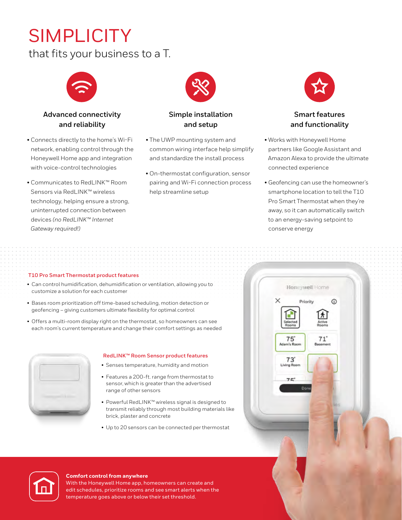## **SIMPLICITY** that fits your business to a T.



### **Advanced connectivity and reliability**

- Connects directly to the home's Wi-Fi network, enabling control through the Honeywell Home app and integration with voice-control technologies
- Communicates to RedLINK™ Room Sensors via RedLINK™ wireless technology, helping ensure a strong, uninterrupted connection between devices *(no RedLINK™ Internet Gateway required!)*



### **Simple installation and setup**

- The UWP mounting system and common wiring interface help simplify and standardize the install process
- On-thermostat configuration, sensor pairing and Wi-Fi connection process help streamline setup



### **Smart features and functionality**

- Works with Honeywell Home partners like Google Assistant and Amazon Alexa to provide the ultimate connected experience
- Geofencing can use the homeowner's smartphone location to tell the T10 Pro Smart Thermostat when they're away, so it can automatically switch to an energy-saving setpoint to conserve energy

#### **T10 Pro Smart Thermostat product features**

- Can control humidification, dehumidification or ventilation, allowing you to customize a solution for each customer
- Bases room prioritization off time-based scheduling, motion detection or geofencing – giving customers ultimate flexibility for optimal control
- Offers a multi-room display right on the thermostat, so homeowners can see each room's current temperature and change their comfort settings as needed



#### **RedLINK™ Room Sensor product features**

- Senses temperature, humidity and motion
- Features a 200-ft. range from thermostat to sensor, which is greater than the advertised range of other sensors
- Powerful RedLINK™ wireless signal is designed to transmit reliably through most building materials like brick, plaster and concrete
- Up to 20 sensors can be connected per thermostat







#### **Comfort control from anywhere**

With the Honeywell Home app, homeowners can create and edit schedules, prioritize rooms and see smart alerts when the temperature goes above or below their set threshold.